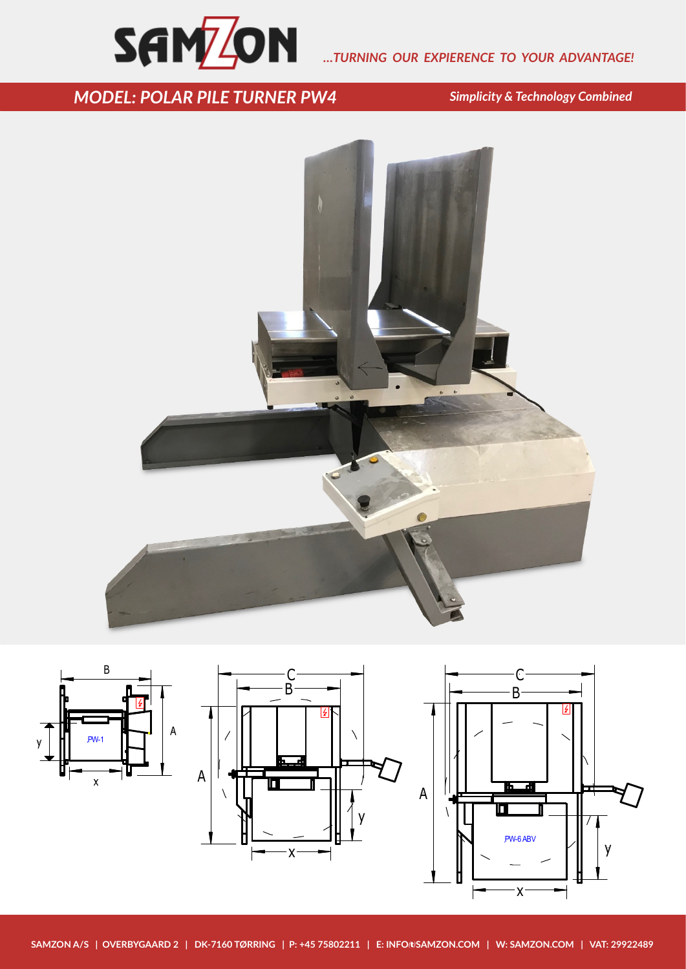

## *…TURNING OUR EXPIERENCE TO YOUR ADVANTAGE!*

## **MODEL: POLAR PILE TURNER PW4** Simplicity & Technology Combined **technical data PW-1 PW-4 PW-4 ABV PW-6 ABV**